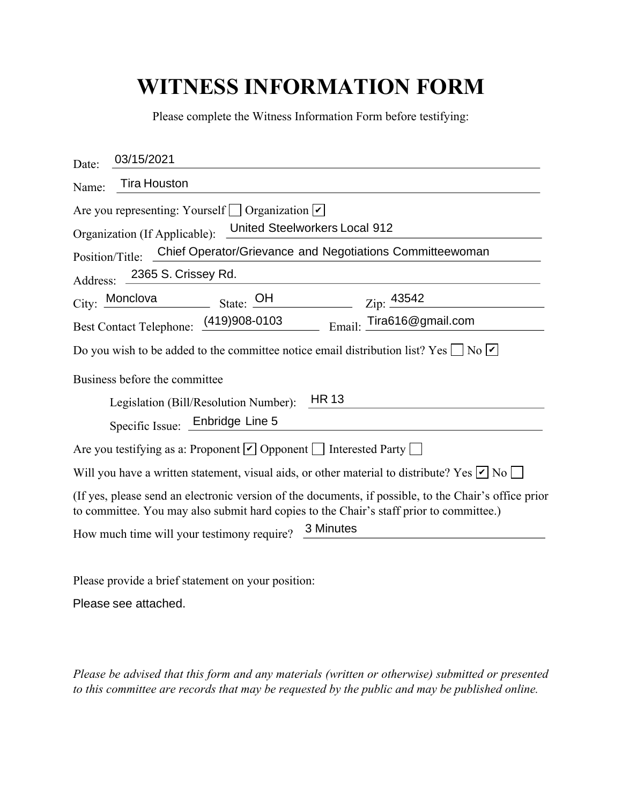## **WITNESS INFORMATION FORM**

| Please complete the Witness Information Form before testifying:                                                                                                                                  |
|--------------------------------------------------------------------------------------------------------------------------------------------------------------------------------------------------|
| 03/15/2021<br>Date:                                                                                                                                                                              |
| <b>Tira Houston</b><br>Name:                                                                                                                                                                     |
| Are you representing: Yourself $\Box$ Organization $\nu$<br>United Steelworkers Local 912<br>Organization (If Applicable):                                                                       |
| Chief Operator/Grievance and Negotiations Committeewoman<br>Position/Title:                                                                                                                      |
| 2365 S. Crissey Rd.<br>Address:                                                                                                                                                                  |
| City: Monclova<br>State: $\overline{OH}$<br>Zip: 43542                                                                                                                                           |
| Best Contact Telephone: (419)908-0103<br>Tira616@gmail.com<br>Email:                                                                                                                             |
| Do you wish to be added to the committee notice email distribution list? Yes $\Box$ No $\Box$                                                                                                    |
| Business before the committee                                                                                                                                                                    |
| <b>HR13</b><br>Legislation (Bill/Resolution Number):                                                                                                                                             |
| Specific Issue: Enbridge Line 5                                                                                                                                                                  |
| Are you testifying as a: Proponent $\vee$ Opponent $\Box$ Interested Party $\Box$                                                                                                                |
| Will you have a written statement, visual aids, or other material to distribute? Yes $\nu$ No $\Box$                                                                                             |
| (If yes, please send an electronic version of the documents, if possible, to the Chair's office prior<br>to committee. You may also submit hard copies to the Chair's staff prior to committee.) |
| 3 Minutes<br>How much time will your testimony require?                                                                                                                                          |

Please provide a brief statement on your position:

Please see attached.

*Please be advised that this form and any materials (written or otherwise) submitted or presented to this committee are records that may be requested by the public and may be published online.*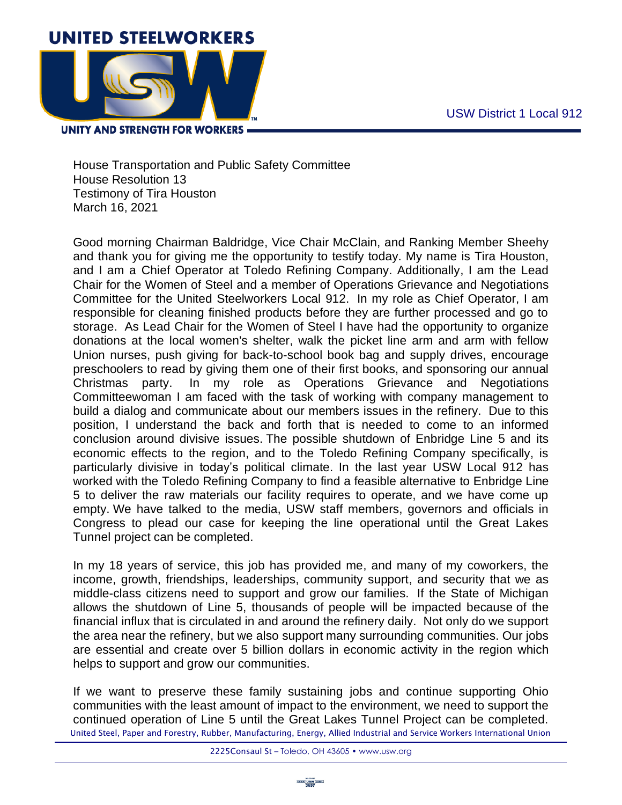

**UNITY AND STRENGTH FOR WORKERS =** 

House Transportation and Public Safety Committee House Resolution 13 Testimony of Tira Houston March 16, 2021

Good morning Chairman Baldridge, Vice Chair McClain, and Ranking Member Sheehy and thank you for giving me the opportunity to testify today. My name is Tira Houston, and I am a Chief Operator at Toledo Refining Company. Additionally, I am the Lead Chair for the Women of Steel and a member of Operations Grievance and Negotiations Committee for the United Steelworkers Local 912. In my role as Chief Operator, I am responsible for cleaning finished products before they are further processed and go to storage. As Lead Chair for the Women of Steel I have had the opportunity to organize donations at the local women's shelter, walk the picket line arm and arm with fellow Union nurses, push giving for back-to-school book bag and supply drives, encourage preschoolers to read by giving them one of their first books, and sponsoring our annual Christmas party. In my role as Operations Grievance and Negotiations Committeewoman I am faced with the task of working with company management to build a dialog and communicate about our members issues in the refinery. Due to this position, I understand the back and forth that is needed to come to an informed conclusion around divisive issues. The possible shutdown of Enbridge Line 5 and its economic effects to the region, and to the Toledo Refining Company specifically, is particularly divisive in today's political climate. In the last year USW Local 912 has worked with the Toledo Refining Company to find a feasible alternative to Enbridge Line 5 to deliver the raw materials our facility requires to operate, and we have come up empty. We have talked to the media, USW staff members, governors and officials in Congress to plead our case for keeping the line operational until the Great Lakes Tunnel project can be completed.

In my 18 years of service, this job has provided me, and many of my coworkers, the income, growth, friendships, leaderships, community support, and security that we as middle-class citizens need to support and grow our families. If the State of Michigan allows the shutdown of Line 5, thousands of people will be impacted because of the financial influx that is circulated in and around the refinery daily. Not only do we support the area near the refinery, but we also support many surrounding communities. Our jobs are essential and create over 5 billion dollars in economic activity in the region which helps to support and grow our communities.

United Steel, Paper and Forestry, Rubber, Manufacturing, Energy, Allied Industrial and Service Workers International Union If we want to preserve these family sustaining jobs and continue supporting Ohio communities with the least amount of impact to the environment, we need to support the continued operation of Line 5 until the Great Lakes Tunnel Project can be completed.